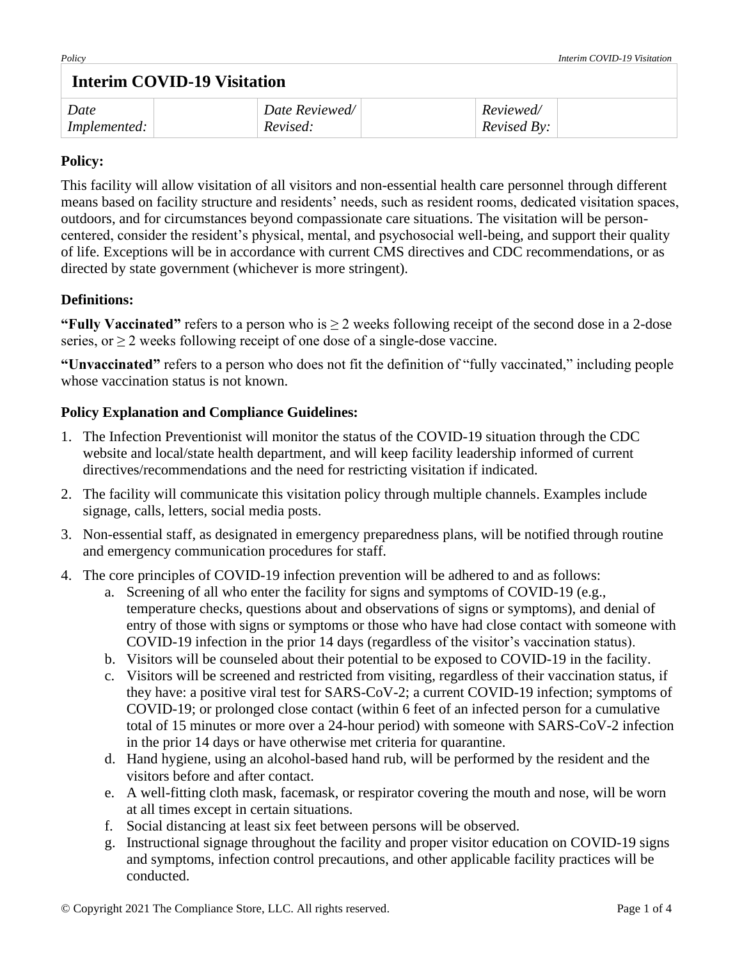# **Interim COVID-19 Visitation**

| Date                | Date Reviewed/ | Reviewed/          |  |
|---------------------|----------------|--------------------|--|
| <i>Implemented:</i> | Revised:       | <i>Revised By:</i> |  |

#### **Policy:**

This facility will allow visitation of all visitors and non-essential health care personnel through different means based on facility structure and residents' needs, such as resident rooms, dedicated visitation spaces, outdoors, and for circumstances beyond compassionate care situations. The visitation will be personcentered, consider the resident's physical, mental, and psychosocial well-being, and support their quality of life. Exceptions will be in accordance with current CMS directives and CDC recommendations, or as directed by state government (whichever is more stringent).

### **Definitions:**

**"Fully Vaccinated"** refers to a person who is  $\geq 2$  weeks following receipt of the second dose in a 2-dose series, or > 2 weeks following receipt of one dose of a single-dose vaccine.

**"Unvaccinated"** refers to a person who does not fit the definition of "fully vaccinated," including people whose vaccination status is not known.

## **Policy Explanation and Compliance Guidelines:**

- 1. The Infection Preventionist will monitor the status of the COVID-19 situation through the CDC website and local/state health department, and will keep facility leadership informed of current directives/recommendations and the need for restricting visitation if indicated.
- 2. The facility will communicate this visitation policy through multiple channels. Examples include signage, calls, letters, social media posts.
- 3. Non-essential staff, as designated in emergency preparedness plans, will be notified through routine and emergency communication procedures for staff.
- 4. The core principles of COVID-19 infection prevention will be adhered to and as follows:
	- a. Screening of all who enter the facility for signs and symptoms of COVID-19 (e.g., temperature checks, questions about and observations of signs or symptoms), and denial of entry of those with signs or symptoms or those who have had close contact with someone with COVID-19 infection in the prior 14 days (regardless of the visitor's vaccination status).
	- b. Visitors will be counseled about their potential to be exposed to COVID-19 in the facility.
	- c. Visitors will be screened and restricted from visiting, regardless of their vaccination status, if they have: a positive viral test for SARS-CoV-2; a current COVID-19 infection; symptoms of COVID-19; or prolonged close contact (within 6 feet of an infected person for a cumulative total of 15 minutes or more over a 24-hour period) with someone with SARS-CoV-2 infection in the prior 14 days or have otherwise met criteria for quarantine.
	- d. Hand hygiene, using an alcohol-based hand rub, will be performed by the resident and the visitors before and after contact.
	- e. A well-fitting cloth mask, facemask, or respirator covering the mouth and nose, will be worn at all times except in certain situations.
	- f. Social distancing at least six feet between persons will be observed.
	- g. Instructional signage throughout the facility and proper visitor education on COVID-19 signs and symptoms, infection control precautions, and other applicable facility practices will be conducted.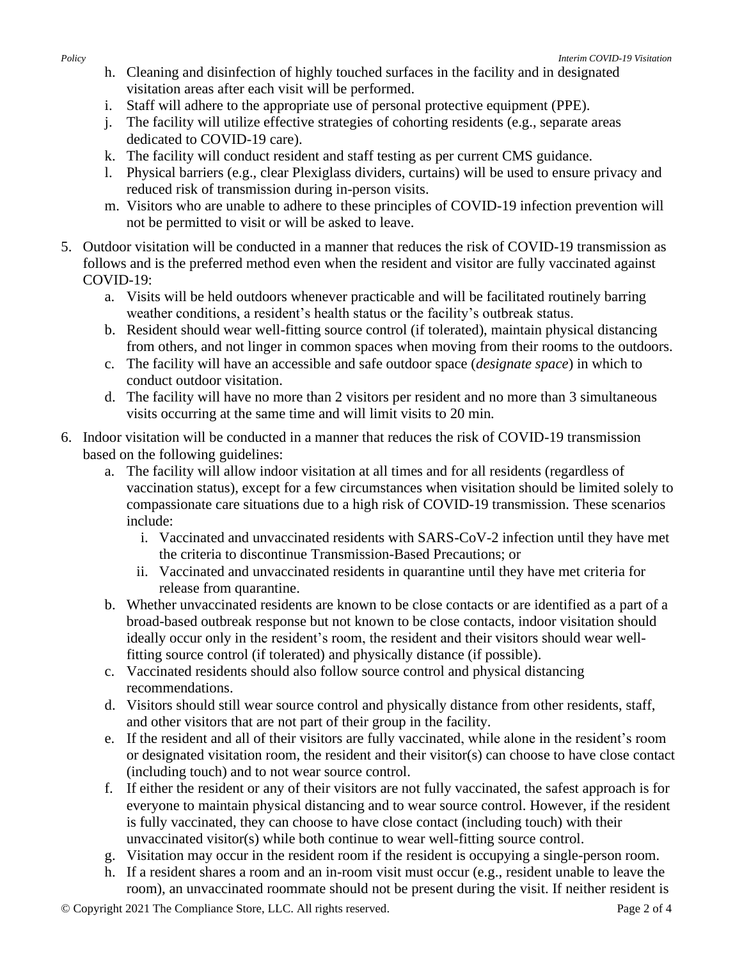- h. Cleaning and disinfection of highly touched surfaces in the facility and in designated visitation areas after each visit will be performed.
- i. Staff will adhere to the appropriate use of personal protective equipment (PPE).
- j. The facility will utilize effective strategies of cohorting residents (e.g., separate areas dedicated to COVID-19 care).
- k. The facility will conduct resident and staff testing as per current CMS guidance.
- l. Physical barriers (e.g., clear Plexiglass dividers, curtains) will be used to ensure privacy and reduced risk of transmission during in-person visits.
- m. Visitors who are unable to adhere to these principles of COVID-19 infection prevention will not be permitted to visit or will be asked to leave.
- 5. Outdoor visitation will be conducted in a manner that reduces the risk of COVID-19 transmission as follows and is the preferred method even when the resident and visitor are fully vaccinated against COVID-19:
	- a. Visits will be held outdoors whenever practicable and will be facilitated routinely barring weather conditions, a resident's health status or the facility's outbreak status.
	- b. Resident should wear well-fitting source control (if tolerated), maintain physical distancing from others, and not linger in common spaces when moving from their rooms to the outdoors.
	- c. The facility will have an accessible and safe outdoor space (*designate space*) in which to conduct outdoor visitation.
	- d. The facility will have no more than 2 visitors per resident and no more than 3 simultaneous visits occurring at the same time and will limit visits to 20 min*.*
- 6. Indoor visitation will be conducted in a manner that reduces the risk of COVID-19 transmission based on the following guidelines:
	- a. The facility will allow indoor visitation at all times and for all residents (regardless of vaccination status), except for a few circumstances when visitation should be limited solely to compassionate care situations due to a high risk of COVID-19 transmission. These scenarios include:
		- i. Vaccinated and unvaccinated residents with SARS-CoV-2 infection until they have met the criteria to discontinue Transmission-Based Precautions; or
		- ii. Vaccinated and unvaccinated residents in quarantine until they have met criteria for release from quarantine.
	- b. Whether unvaccinated residents are known to be close contacts or are identified as a part of a broad-based outbreak response but not known to be close contacts, indoor visitation should ideally occur only in the resident's room, the resident and their visitors should wear wellfitting source control (if tolerated) and physically distance (if possible).
	- c. Vaccinated residents should also follow source control and physical distancing recommendations.
	- d. Visitors should still wear source control and physically distance from other residents, staff, and other visitors that are not part of their group in the facility.
	- e. If the resident and all of their visitors are fully vaccinated, while alone in the resident's room or designated visitation room, the resident and their visitor(s) can choose to have close contact (including touch) and to not wear source control.
	- f. If either the resident or any of their visitors are not fully vaccinated, the safest approach is for everyone to maintain physical distancing and to wear source control. However, if the resident is fully vaccinated, they can choose to have close contact (including touch) with their unvaccinated visitor(s) while both continue to wear well-fitting source control.
	- g. Visitation may occur in the resident room if the resident is occupying a single-person room.
	- h. If a resident shares a room and an in-room visit must occur (e.g., resident unable to leave the room), an unvaccinated roommate should not be present during the visit. If neither resident is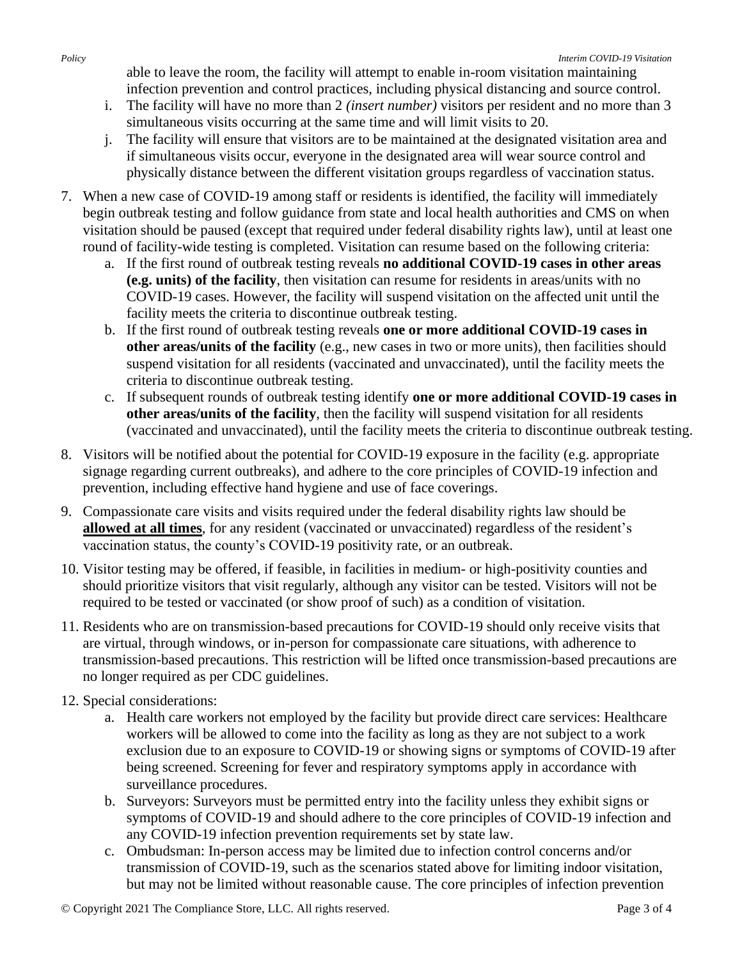able to leave the room, the facility will attempt to enable in-room visitation maintaining infection prevention and control practices, including physical distancing and source control.

- i. The facility will have no more than 2 *(insert number)* visitors per resident and no more than 3 simultaneous visits occurring at the same time and will limit visits to 20.
- j. The facility will ensure that visitors are to be maintained at the designated visitation area and if simultaneous visits occur, everyone in the designated area will wear source control and physically distance between the different visitation groups regardless of vaccination status.
- 7. When a new case of COVID-19 among staff or residents is identified, the facility will immediately begin outbreak testing and follow guidance from state and local health authorities and CMS on when visitation should be paused (except that required under federal disability rights law), until at least one round of facility-wide testing is completed. Visitation can resume based on the following criteria:
	- a. If the first round of outbreak testing reveals **no additional COVID-19 cases in other areas (e.g. units) of the facility**, then visitation can resume for residents in areas/units with no COVID-19 cases. However, the facility will suspend visitation on the affected unit until the facility meets the criteria to discontinue outbreak testing.
	- b. If the first round of outbreak testing reveals **one or more additional COVID-19 cases in other areas/units of the facility** (e.g., new cases in two or more units), then facilities should suspend visitation for all residents (vaccinated and unvaccinated), until the facility meets the criteria to discontinue outbreak testing.
	- c. If subsequent rounds of outbreak testing identify **one or more additional COVID-19 cases in other areas/units of the facility**, then the facility will suspend visitation for all residents (vaccinated and unvaccinated), until the facility meets the criteria to discontinue outbreak testing.
- 8. Visitors will be notified about the potential for COVID-19 exposure in the facility (e.g. appropriate signage regarding current outbreaks), and adhere to the core principles of COVID-19 infection and prevention, including effective hand hygiene and use of face coverings.
- 9. Compassionate care visits and visits required under the federal disability rights law should be **allowed at all times**, for any resident (vaccinated or unvaccinated) regardless of the resident's vaccination status, the county's COVID-19 positivity rate, or an outbreak.
- 10. Visitor testing may be offered, if feasible, in facilities in medium- or high-positivity counties and should prioritize visitors that visit regularly, although any visitor can be tested. Visitors will not be required to be tested or vaccinated (or show proof of such) as a condition of visitation.
- 11. Residents who are on transmission-based precautions for COVID-19 should only receive visits that are virtual, through windows, or in-person for compassionate care situations, with adherence to transmission-based precautions. This restriction will be lifted once transmission-based precautions are no longer required as per CDC guidelines.
- 12. Special considerations:
	- a. Health care workers not employed by the facility but provide direct care services: Healthcare workers will be allowed to come into the facility as long as they are not subject to a work exclusion due to an exposure to COVID-19 or showing signs or symptoms of COVID-19 after being screened. Screening for fever and respiratory symptoms apply in accordance with surveillance procedures.
	- b. Surveyors: Surveyors must be permitted entry into the facility unless they exhibit signs or symptoms of COVID-19 and should adhere to the core principles of COVID-19 infection and any COVID-19 infection prevention requirements set by state law.
	- c. Ombudsman: In-person access may be limited due to infection control concerns and/or transmission of COVID-19, such as the scenarios stated above for limiting indoor visitation, but may not be limited without reasonable cause. The core principles of infection prevention